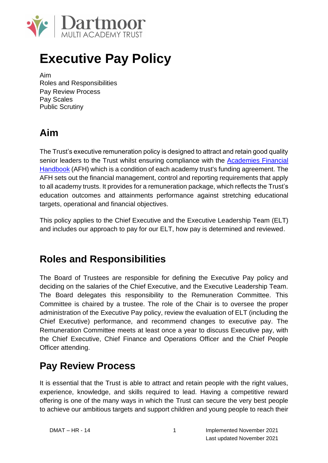

# **Executive Pay Policy**

Aim Roles and Responsibilities Pay Review Process Pay Scales Public Scrutiny

## **Aim**

The Trust's executive remuneration policy is designed to attract and retain good quality senior leaders to the Trust whilst ensuring compliance with the Academies Financial Handbook (AFH) which is a condition of each academy trust's funding agreement. The AFH sets out the financial management, control and reporting requirements that apply to all academy trusts. It provides for a remuneration package, which reflects the Trust's education outcomes and attainments performance against stretching educational targets, operational and financial objectives.

This policy applies to the Chief Executive and the Executive Leadership Team (ELT) and includes our approach to pay for our ELT, how pay is determined and reviewed.

## **Roles and Responsibilities**

The Board of Trustees are responsible for defining the Executive Pay policy and deciding on the salaries of the Chief Executive, and the Executive Leadership Team. The Board delegates this responsibility to the Remuneration Committee. This Committee is chaired by a trustee. The role of the Chair is to oversee the proper administration of the Executive Pay policy, review the evaluation of ELT (including the Chief Executive) performance, and recommend changes to executive pay. The Remuneration Committee meets at least once a year to discuss Executive pay, with the Chief Executive, Chief Finance and Operations Officer and the Chief People Officer attending.

## **Pay Review Process**

It is essential that the Trust is able to attract and retain people with the right values, experience, knowledge, and skills required to lead. Having a competitive reward offering is one of the many ways in which the Trust can secure the very best people to achieve our ambitious targets and support children and young people to reach their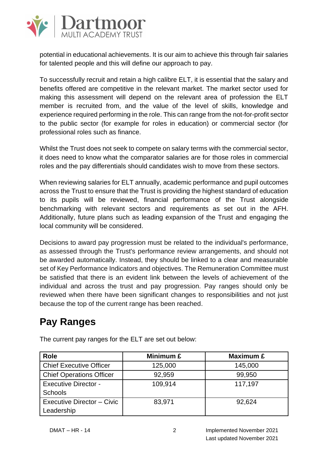

potential in educational achievements. It is our aim to achieve this through fair salaries for talented people and this will define our approach to pay.

To successfully recruit and retain a high calibre ELT, it is essential that the salary and benefits offered are competitive in the relevant market. The market sector used for making this assessment will depend on the relevant area of profession the ELT member is recruited from, and the value of the level of skills, knowledge and experience required performing in the role. This can range from the not-for-profit sector to the public sector (for example for roles in education) or commercial sector (for professional roles such as finance.

Whilst the Trust does not seek to compete on salary terms with the commercial sector, it does need to know what the comparator salaries are for those roles in commercial roles and the pay differentials should candidates wish to move from these sectors.

When reviewing salaries for ELT annually, academic performance and pupil outcomes across the Trust to ensure that the Trust is providing the highest standard of education to its pupils will be reviewed, financial performance of the Trust alongside benchmarking with relevant sectors and requirements as set out in the AFH. Additionally, future plans such as leading expansion of the Trust and engaging the local community will be considered.

Decisions to award pay progression must be related to the individual's performance, as assessed through the Trust's performance review arrangements, and should not be awarded automatically. Instead, they should be linked to a clear and measurable set of Key Performance Indicators and objectives. The Remuneration Committee must be satisfied that there is an evident link between the levels of achievement of the individual and across the trust and pay progression. Pay ranges should only be reviewed when there have been significant changes to responsibilities and not just because the top of the current range has been reached.

## **Pay Ranges**

| Role                                          | Minimum £ | Maximum £ |
|-----------------------------------------------|-----------|-----------|
| <b>Chief Executive Officer</b>                | 125,000   | 145,000   |
| <b>Chief Operations Officer</b>               | 92,959    | 99,950    |
| <b>Executive Director -</b><br><b>Schools</b> | 109,914   | 117,197   |
| Executive Director - Civic<br>Leadership      | 83,971    | 92,624    |

The current pay ranges for the ELT are set out below: